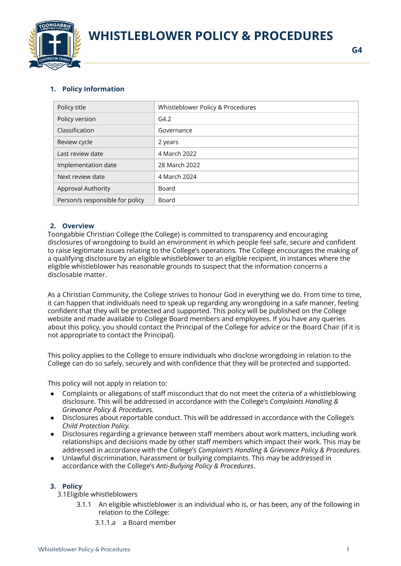



# **1. Policy Information**

| Policy title                    | Whistleblower Policy & Procedures |
|---------------------------------|-----------------------------------|
| Policy version                  | G4.2                              |
| Classification                  | Governance                        |
| Review cycle                    | 2 years                           |
| Last review date                | 4 March 2022                      |
| Implementation date             | 28 March 2022                     |
| Next review date                | 4 March 2024                      |
| <b>Approval Authority</b>       | Board                             |
| Person/s responsible for policy | Board                             |

## **2. Overview**

Toongabbie Christian College (the College) is committed to transparency and encouraging disclosures of wrongdoing to build an environment in which people feel safe, secure and confident to raise legitimate issues relating to the College's operations. The College encourages the making of a qualifying disclosure by an eligible whistleblower to an eligible recipient, in instances where the eligible whistleblower has reasonable grounds to suspect that the information concerns a disclosable matter.

As a Christian Community, the College strives to honour God in everything we do. From time to time, it can happen that individuals need to speak up regarding any wrongdoing in a safe manner, feeling confident that they will be protected and supported. This policy will be published on the College website and made available to College Board members and employees. If you have any queries about this policy, you should contact the Principal of the College for advice or the Board Chair (if it is not appropriate to contact the Principal).

This policy applies to the College to ensure individuals who disclose wrongdoing in relation to the College can do so safely, securely and with confidence that they will be protected and supported.

This policy will not apply in relation to:

- Complaints or allegations of staff misconduct that do not meet the criteria of a whistleblowing disclosure. This will be addressed in accordance with the College's *Complaints Handling & Grievance Policy & Procedures.*
- Disclosures about reportable conduct. This will be addressed in accordance with the College's *Child Protection Policy.*
- Disclosures regarding a grievance between staff members about work matters, including work relationships and decisions made by other staff members which impact their work. This may be addressed in accordance with the College's *Complaint's Handling & Grievance Policy & Procedures.*
- Unlawful discrimination, harassment or bullying complaints. This may be addressed in accordance with the College's *Anti-Bullying Policy & Procedures*.

## **3. Policy**

3.1Eligible whistleblowers

- 3.1.1 An eligible whistleblower is an individual who is, or has been, any of the following in relation to the College:
	- 3.1.1.a a Board member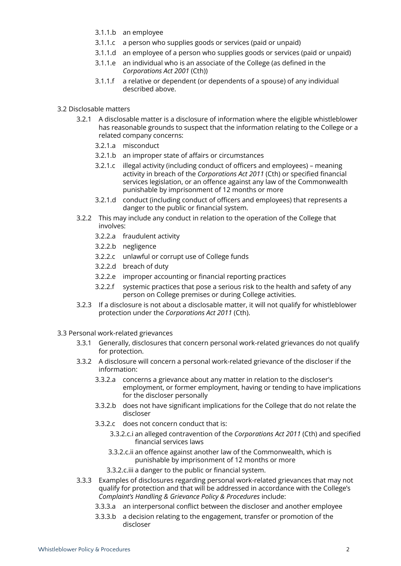- 3.1.1.b an employee
- 3.1.1.c a person who supplies goods or services (paid or unpaid)
- 3.1.1.d an employee of a person who supplies goods or services (paid or unpaid)
- 3.1.1.e an individual who is an associate of the College (as defined in the *Corporations Act 2001* (Cth))
- 3.1.1.f a relative or dependent (or dependents of a spouse) of any individual described above.

#### 3.2 Disclosable matters

- 3.2.1 A disclosable matter is a disclosure of information where the eligible whistleblower has reasonable grounds to suspect that the information relating to the College or a related company concerns:
	- 3.2.1.a misconduct
	- 3.2.1.b an improper state of affairs or circumstances
	- 3.2.1.c illegal activity (including conduct of officers and employees) meaning activity in breach of the *Corporations Act 2011* (Cth) or specified financial services legislation, or an offence against any law of the Commonwealth punishable by imprisonment of 12 months or more
	- 3.2.1.d conduct (including conduct of officers and employees) that represents a danger to the public or financial system.
- 3.2.2 This may include any conduct in relation to the operation of the College that involves:
	- 3.2.2.a fraudulent activity
	- 3.2.2.b negligence
	- 3.2.2.c unlawful or corrupt use of College funds
	- 3.2.2.d breach of duty
	- 3.2.2.e improper accounting or financial reporting practices
	- 3.2.2.f systemic practices that pose a serious risk to the health and safety of any person on College premises or during College activities.
- 3.2.3 If a disclosure is not about a disclosable matter, it will not qualify for whistleblower protection under the *Corporations Act 2011* (Cth).

#### 3.3 Personal work-related grievances

- 3.3.1 Generally, disclosures that concern personal work-related grievances do not qualify for protection.
- 3.3.2 A disclosure will concern a personal work-related grievance of the discloser if the information:
	- 3.3.2.a concerns a grievance about any matter in relation to the discloser's employment, or former employment, having or tending to have implications for the discloser personally
	- 3.3.2.b does not have significant implications for the College that do not relate the discloser
	- 3.3.2.c does not concern conduct that is:
		- 3.3.2.c.i an alleged contravention of the *Corporations Act 2011* (Cth) and specified financial services laws
		- 3.3.2.c.ii an offence against another law of the Commonwealth, which is punishable by imprisonment of 12 months or more
		- 3.3.2.c.iii a danger to the public or financial system.
- 3.3.3 Examples of disclosures regarding personal work-related grievances that may not qualify for protection and that will be addressed in accordance with the College's *Complaint's Handling & Grievance Policy & Procedures* include:
	- 3.3.3.a an interpersonal conflict between the discloser and another employee
	- 3.3.3.b a decision relating to the engagement, transfer or promotion of the discloser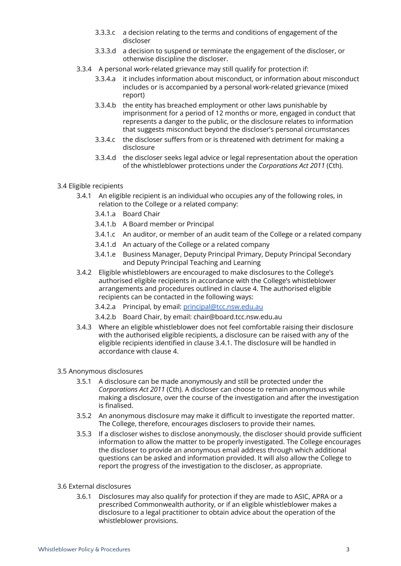- 3.3.3.c a decision relating to the terms and conditions of engagement of the discloser
- 3.3.3.d a decision to suspend or terminate the engagement of the discloser, or otherwise discipline the discloser.
- 3.3.4 A personal work-related grievance may still qualify for protection if:
	- 3.3.4.a it includes information about misconduct, or information about misconduct includes or is accompanied by a personal work-related grievance (mixed report)
	- 3.3.4.b the entity has breached employment or other laws punishable by imprisonment for a period of 12 months or more, engaged in conduct that represents a danger to the public, or the disclosure relates to information that suggests misconduct beyond the discloser's personal circumstances
	- 3.3.4.c the discloser suffers from or is threatened with detriment for making a disclosure
	- 3.3.4.d the discloser seeks legal advice or legal representation about the operation of the whistleblower protections under the *Corporations Act 2011* (Cth).
- 3.4 Eligible recipients
	- 3.4.1 An eligible recipient is an individual who occupies any of the following roles, in relation to the College or a related company:
		- 3.4.1.a Board Chair
		- 3.4.1.b A Board member or Principal
		- 3.4.1.c An auditor, or member of an audit team of the College or a related company
		- 3.4.1.d An actuary of the College or a related company
		- 3.4.1.e Business Manager, Deputy Principal Primary, Deputy Principal Secondary and Deputy Principal Teaching and Learning
	- 3.4.2 Eligible whistleblowers are encouraged to make disclosures to the College's authorised eligible recipients in accordance with the College's whistleblower arrangements and procedures outlined in clause 4. The authorised eligible recipients can be contacted in the following ways:
		- 3.4.2.a Principal, by email: [principal@tcc.nsw.edu.au](mailto:principal@tcc.nsw.edu.au)
		- 3.4.2.b Board Chair, by email: chair@board.tcc.nsw.edu.au
	- 3.4.3 Where an eligible whistleblower does not feel comfortable raising their disclosure with the authorised eligible recipients, a disclosure can be raised with any of the eligible recipients identified in clause 3.4.1. The disclosure will be handled in accordance with clause 4.
- 3.5 Anonymous disclosures
	- 3.5.1 A disclosure can be made anonymously and still be protected under the *Corporations Act 2011* (Cth). A discloser can choose to remain anonymous while making a disclosure, over the course of the investigation and after the investigation is finalised.
	- 3.5.2 An anonymous disclosure may make it difficult to investigate the reported matter. The College, therefore, encourages disclosers to provide their names.
	- 3.5.3 If a discloser wishes to disclose anonymously, the discloser should provide sufficient information to allow the matter to be properly investigated. The College encourages the discloser to provide an anonymous email address through which additional questions can be asked and information provided. It will also allow the College to report the progress of the investigation to the discloser, as appropriate.
- 3.6 External disclosures
	- 3.6.1 Disclosures may also qualify for protection if they are made to ASIC, APRA or a prescribed Commonwealth authority, or if an eligible whistleblower makes a disclosure to a legal practitioner to obtain advice about the operation of the whistleblower provisions.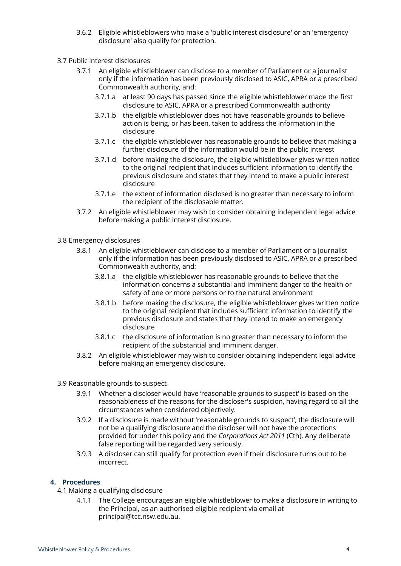- 3.6.2 Eligible whistleblowers who make a 'public interest disclosure' or an 'emergency disclosure' also qualify for protection.
- 3.7 Public interest disclosures
	- 3.7.1 An eligible whistleblower can disclose to a member of Parliament or a journalist only if the information has been previously disclosed to ASIC, APRA or a prescribed Commonwealth authority, and:
		- 3.7.1.a at least 90 days has passed since the eligible whistleblower made the first disclosure to ASIC, APRA or a prescribed Commonwealth authority
		- 3.7.1.b the eligible whistleblower does not have reasonable grounds to believe action is being, or has been, taken to address the information in the disclosure
		- 3.7.1.c the eligible whistleblower has reasonable grounds to believe that making a further disclosure of the information would be in the public interest
		- 3.7.1.d before making the disclosure, the eligible whistleblower gives written notice to the original recipient that includes sufficient information to identify the previous disclosure and states that they intend to make a public interest disclosure
		- 3.7.1.e the extent of information disclosed is no greater than necessary to inform the recipient of the disclosable matter.
	- 3.7.2 An eligible whistleblower may wish to consider obtaining independent legal advice before making a public interest disclosure.
- 3.8 Emergency disclosures
	- 3.8.1 An eligible whistleblower can disclose to a member of Parliament or a journalist only if the information has been previously disclosed to ASIC, APRA or a prescribed Commonwealth authority, and:
		- 3.8.1.a the eligible whistleblower has reasonable grounds to believe that the information concerns a substantial and imminent danger to the health or safety of one or more persons or to the natural environment
		- 3.8.1.b before making the disclosure, the eligible whistleblower gives written notice to the original recipient that includes sufficient information to identify the previous disclosure and states that they intend to make an emergency disclosure
		- 3.8.1.c the disclosure of information is no greater than necessary to inform the recipient of the substantial and imminent danger.
	- 3.8.2 An eligible whistleblower may wish to consider obtaining independent legal advice before making an emergency disclosure.
- 3.9 Reasonable grounds to suspect
	- 3.9.1 Whether a discloser would have 'reasonable grounds to suspect' is based on the reasonableness of the reasons for the discloser's suspicion, having regard to all the circumstances when considered objectively.
	- 3.9.2 If a disclosure is made without 'reasonable grounds to suspect', the disclosure will not be a qualifying disclosure and the discloser will not have the protections provided for under this policy and the *Corporations Act 2011* (Cth). Any deliberate false reporting will be regarded very seriously.
	- 3.9.3 A discloser can still qualify for protection even if their disclosure turns out to be incorrect.

## **4. Procedures**

- 4.1 Making a qualifying disclosure
	- 4.1.1 The College encourages an eligible whistleblower to make a disclosure in writing to the Principal, as an authorised eligible recipient via email at principal@tcc.nsw.edu.au.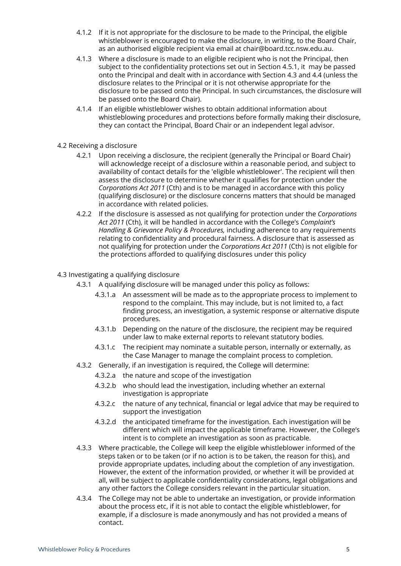- 4.1.2 If it is not appropriate for the disclosure to be made to the Principal, the eligible whistleblower is encouraged to make the disclosure, in writing, to the Board Chair, as an authorised eligible recipient via email at chair@board.tcc.nsw.edu.au.
- 4.1.3 Where a disclosure is made to an eligible recipient who is not the Principal, then subject to the confidentiality protections set out in Section 4.5.1, it may be passed onto the Principal and dealt with in accordance with Section 4.3 and 4.4 (unless the disclosure relates to the Principal or it is not otherwise appropriate for the disclosure to be passed onto the Principal. In such circumstances, the disclosure will be passed onto the Board Chair).
- 4.1.4 If an eligible whistleblower wishes to obtain additional information about whistleblowing procedures and protections before formally making their disclosure, they can contact the Principal, Board Chair or an independent legal advisor.

#### 4.2 Receiving a disclosure

- 4.2.1 Upon receiving a disclosure, the recipient (generally the Principal or Board Chair) will acknowledge receipt of a disclosure within a reasonable period, and subject to availability of contact details for the 'eligible whistleblower'. The recipient will then assess the disclosure to determine whether it qualifies for protection under the *Corporations Act 2011* (Cth) and is to be managed in accordance with this policy (qualifying disclosure) or the disclosure concerns matters that should be managed in accordance with related policies.
- 4.2.2 If the disclosure is assessed as not qualifying for protection under the *Corporations Act 2011* (Cth), it will be handled in accordance with the College's *Complaint's Handling & Grievance Policy & Procedures,* including adherence to any requirements relating to confidentiality and procedural fairness. A disclosure that is assessed as not qualifying for protection under the *Corporations Act 2011* (Cth) is not eligible for the protections afforded to qualifying disclosures under this policy

#### 4.3 Investigating a qualifying disclosure

- 4.3.1 A qualifying disclosure will be managed under this policy as follows:
	- 4.3.1.a An assessment will be made as to the appropriate process to implement to respond to the complaint. This may include, but is not limited to, a fact finding process, an investigation, a systemic response or alternative dispute procedures.
	- 4.3.1.b Depending on the nature of the disclosure, the recipient may be required under law to make external reports to relevant statutory bodies.
	- 4.3.1.c The recipient may nominate a suitable person, internally or externally, as the Case Manager to manage the complaint process to completion.
- 4.3.2 Generally, if an investigation is required, the College will determine:
	- 4.3.2.a the nature and scope of the investigation
	- 4.3.2.b who should lead the investigation, including whether an external investigation is appropriate
	- 4.3.2.c the nature of any technical, financial or legal advice that may be required to support the investigation
	- 4.3.2.d the anticipated timeframe for the investigation. Each investigation will be different which will impact the applicable timeframe. However, the College's intent is to complete an investigation as soon as practicable.
- 4.3.3 Where practicable, the College will keep the eligible whistleblower informed of the steps taken or to be taken (or if no action is to be taken, the reason for this), and provide appropriate updates, including about the completion of any investigation. However, the extent of the information provided, or whether it will be provided at all, will be subject to applicable confidentiality considerations, legal obligations and any other factors the College considers relevant in the particular situation.
- 4.3.4 The College may not be able to undertake an investigation, or provide information about the process etc, if it is not able to contact the eligible whistleblower, for example, if a disclosure is made anonymously and has not provided a means of contact.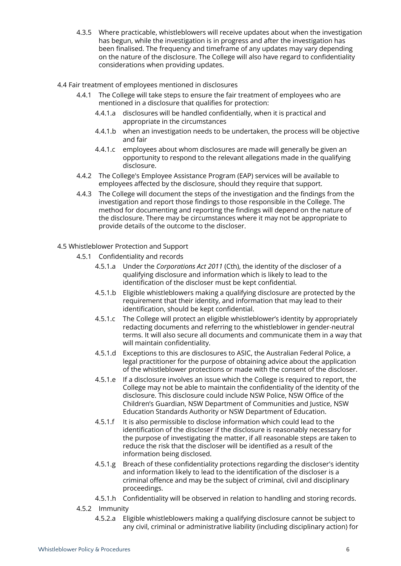- 4.3.5 Where practicable, whistleblowers will receive updates about when the investigation has begun, while the investigation is in progress and after the investigation has been finalised. The frequency and timeframe of any updates may vary depending on the nature of the disclosure. The College will also have regard to confidentiality considerations when providing updates.
- 4.4 Fair treatment of employees mentioned in disclosures
	- 4.4.1 The College will take steps to ensure the fair treatment of employees who are mentioned in a disclosure that qualifies for protection:
		- 4.4.1.a disclosures will be handled confidentially, when it is practical and appropriate in the circumstances
		- 4.4.1.b when an investigation needs to be undertaken, the process will be objective and fair
		- 4.4.1.c employees about whom disclosures are made will generally be given an opportunity to respond to the relevant allegations made in the qualifying disclosure.
	- 4.4.2 The College's Employee Assistance Program (EAP) services will be available to employees affected by the disclosure, should they require that support.
	- 4.4.3 The College will document the steps of the investigation and the findings from the investigation and report those findings to those responsible in the College. The method for documenting and reporting the findings will depend on the nature of the disclosure. There may be circumstances where it may not be appropriate to provide details of the outcome to the discloser.
- 4.5 Whistleblower Protection and Support
	- 4.5.1 Confidentiality and records
		- 4.5.1.a Under the *Corporations Act 2011* (Cth), the identity of the discloser of a qualifying disclosure and information which is likely to lead to the identification of the discloser must be kept confidential.
		- 4.5.1.b Eligible whistleblowers making a qualifying disclosure are protected by the requirement that their identity, and information that may lead to their identification, should be kept confidential.
		- 4.5.1.c The College will protect an eligible whistleblower's identity by appropriately redacting documents and referring to the whistleblower in gender-neutral terms. It will also secure all documents and communicate them in a way that will maintain confidentiality.
		- 4.5.1.d Exceptions to this are disclosures to ASIC, the Australian Federal Police, a legal practitioner for the purpose of obtaining advice about the application of the whistleblower protections or made with the consent of the discloser.
		- 4.5.1.e If a disclosure involves an issue which the College is required to report, the College may not be able to maintain the confidentiality of the identity of the disclosure. This disclosure could include NSW Police, NSW Office of the Children's Guardian, NSW Department of Communities and Justice, NSW Education Standards Authority or NSW Department of Education.
		- 4.5.1.f It is also permissible to disclose information which could lead to the identification of the discloser if the disclosure is reasonably necessary for the purpose of investigating the matter, if all reasonable steps are taken to reduce the risk that the discloser will be identified as a result of the information being disclosed.
		- 4.5.1.g Breach of these confidentiality protections regarding the discloser's identity and information likely to lead to the identification of the discloser is a criminal offence and may be the subject of criminal, civil and disciplinary proceedings.
		- 4.5.1.h Confidentiality will be observed in relation to handling and storing records.
	- 4.5.2 Immunity
		- 4.5.2.a Eligible whistleblowers making a qualifying disclosure cannot be subject to any civil, criminal or administrative liability (including disciplinary action) for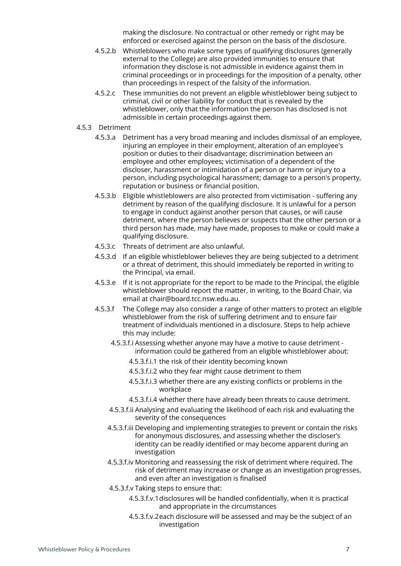making the disclosure. No contractual or other remedy or right may be enforced or exercised against the person on the basis of the disclosure.

- 4.5.2.b Whistleblowers who make some types of qualifying disclosures (generally external to the College) are also provided immunities to ensure that information they disclose is not admissible in evidence against them in criminal proceedings or in proceedings for the imposition of a penalty, other than proceedings in respect of the falsity of the information.
- 4.5.2.c These immunities do not prevent an eligible whistleblower being subject to criminal, civil or other liability for conduct that is revealed by the whistleblower, only that the information the person has disclosed is not admissible in certain proceedings against them.
- 4.5.3 Detriment
	- 4.5.3.a Detriment has a very broad meaning and includes dismissal of an employee, injuring an employee in their employment, alteration of an employee's position or duties to their disadvantage; discrimination between an employee and other employees; victimisation of a dependent of the discloser, harassment or intimidation of a person or harm or injury to a person, including psychological harassment; damage to a person's property, reputation or business or financial position.
	- 4.5.3.b Eligible whistleblowers are also protected from victimisation suffering any detriment by reason of the qualifying disclosure. It is unlawful for a person to engage in conduct against another person that causes, or will cause detriment, where the person believes or suspects that the other person or a third person has made, may have made, proposes to make or could make a qualifying disclosure.
	- 4.5.3.c Threats of detriment are also unlawful.
	- 4.5.3.d If an eligible whistleblower believes they are being subjected to a detriment or a threat of detriment, this should immediately be reported in writing to the Principal, via email.
	- 4.5.3.e If it is not appropriate for the report to be made to the Principal, the eligible whistleblower should report the matter, in writing, to the Board Chair, via email at chair@board.tcc.nsw.edu.au.
	- 4.5.3.f The College may also consider a range of other matters to protect an eligible whistleblower from the risk of suffering detriment and to ensure fair treatment of individuals mentioned in a disclosure. Steps to help achieve this may include:
		- 4.5.3.f.i Assessing whether anyone may have a motive to cause detriment information could be gathered from an eligible whistleblower about:
			- 4.5.3.f.i.1 the risk of their identity becoming known
			- 4.5.3.f.i.2 who they fear might cause detriment to them
			- 4.5.3.f.i.3 whether there are any existing conflicts or problems in the workplace
			- 4.5.3.f.i.4 whether there have already been threats to cause detriment.
		- 4.5.3.f.ii Analysing and evaluating the likelihood of each risk and evaluating the severity of the consequences
		- 4.5.3.f.iii Developing and implementing strategies to prevent or contain the risks for anonymous disclosures, and assessing whether the discloser's identity can be readily identified or may become apparent during an investigation
		- 4.5.3.f.iv Monitoring and reassessing the risk of detriment where required. The risk of detriment may increase or change as an investigation progresses, and even after an investigation is finalised
		- 4.5.3.f.v Taking steps to ensure that:
			- 4.5.3.f.v.1disclosures will be handled confidentially, when it is practical and appropriate in the circumstances
			- 4.5.3.f.v.2each disclosure will be assessed and may be the subject of an investigation